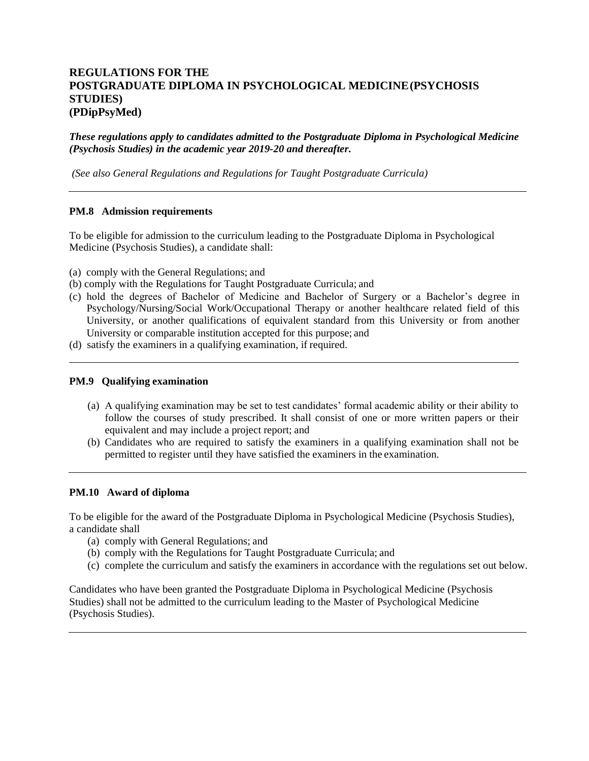# **REGULATIONS FOR THE POSTGRADUATE DIPLOMA IN PSYCHOLOGICAL MEDICINE(PSYCHOSIS STUDIES) (PDipPsyMed)**

*These regulations apply to candidates admitted to the Postgraduate Diploma in Psychological Medicine (Psychosis Studies) in the academic year 2019-20 and thereafter.*

*(See also General Regulations and Regulations for Taught Postgraduate Curricula)*

# **PM.8 Admission requirements**

To be eligible for admission to the curriculum leading to the Postgraduate Diploma in Psychological Medicine (Psychosis Studies), a candidate shall:

- (a) comply with the General Regulations; and
- (b) comply with the Regulations for Taught Postgraduate Curricula; and
- (c) hold the degrees of Bachelor of Medicine and Bachelor of Surgery or a Bachelor's degree in Psychology/Nursing/Social Work/Occupational Therapy or another healthcare related field of this University, or another qualifications of equivalent standard from this University or from another University or comparable institution accepted for this purpose; and
- (d) satisfy the examiners in a qualifying examination, if required.

### **PM.9 Qualifying examination**

- (a) A qualifying examination may be set to test candidates' formal academic ability or their ability to follow the courses of study prescribed. It shall consist of one or more written papers or their equivalent and may include a project report; and
- (b) Candidates who are required to satisfy the examiners in a qualifying examination shall not be permitted to register until they have satisfied the examiners in the examination.

#### **PM.10 Award of diploma**

To be eligible for the award of the Postgraduate Diploma in Psychological Medicine (Psychosis Studies), a candidate shall

- (a) comply with General Regulations; and
- (b) comply with the Regulations for Taught Postgraduate Curricula; and
- (c) complete the curriculum and satisfy the examiners in accordance with the regulations set out below.

Candidates who have been granted the Postgraduate Diploma in Psychological Medicine (Psychosis Studies) shall not be admitted to the curriculum leading to the Master of Psychological Medicine (Psychosis Studies).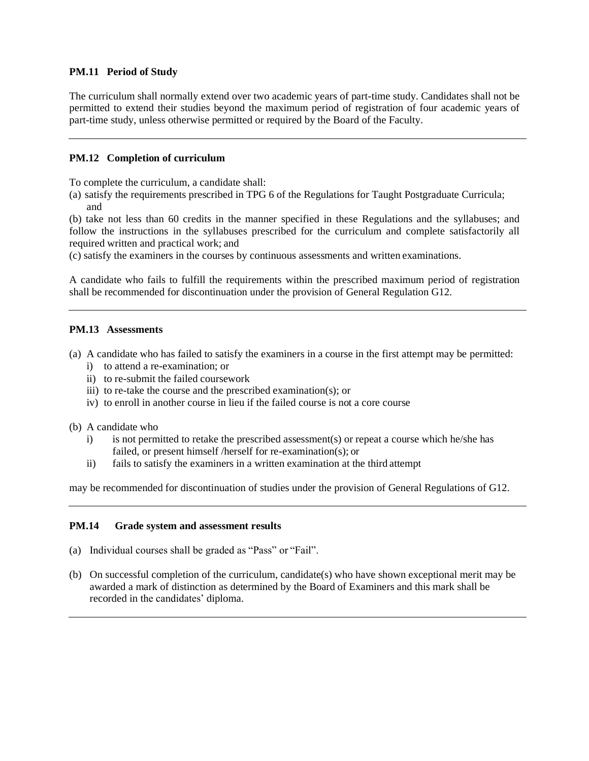# **PM.11 Period of Study**

The curriculum shall normally extend over two academic years of part-time study. Candidates shall not be permitted to extend their studies beyond the maximum period of registration of four academic years of part-time study, unless otherwise permitted or required by the Board of the Faculty.

# **PM.12 Completion of curriculum**

To complete the curriculum, a candidate shall:

(a) satisfy the requirements prescribed in TPG 6 of the Regulations for Taught Postgraduate Curricula; and

(b) take not less than 60 credits in the manner specified in these Regulations and the syllabuses; and follow the instructions in the syllabuses prescribed for the curriculum and complete satisfactorily all required written and practical work; and

(c) satisfy the examiners in the courses by continuous assessments and written examinations.

A candidate who fails to fulfill the requirements within the prescribed maximum period of registration shall be recommended for discontinuation under the provision of General Regulation G12.

# **PM.13 Assessments**

- (a) A candidate who has failed to satisfy the examiners in a course in the first attempt may be permitted:
	- i) to attend a re-examination; or
	- ii) to re-submit the failed coursework
	- iii) to re-take the course and the prescribed examination(s); or
	- iv) to enroll in another course in lieu if the failed course is not a core course
- (b) A candidate who
	- i) is not permitted to retake the prescribed assessment(s) or repeat a course which he/she has failed, or present himself /herself for re-examination(s); or
	- ii) fails to satisfy the examiners in a written examination at the third attempt

may be recommended for discontinuation of studies under the provision of General Regulations of G12.

# **PM.14 Grade system and assessment results**

- (a) Individual courses shall be graded as "Pass" or "Fail".
- (b) On successful completion of the curriculum, candidate(s) who have shown exceptional merit may be awarded a mark of distinction as determined by the Board of Examiners and this mark shall be recorded in the candidates' diploma.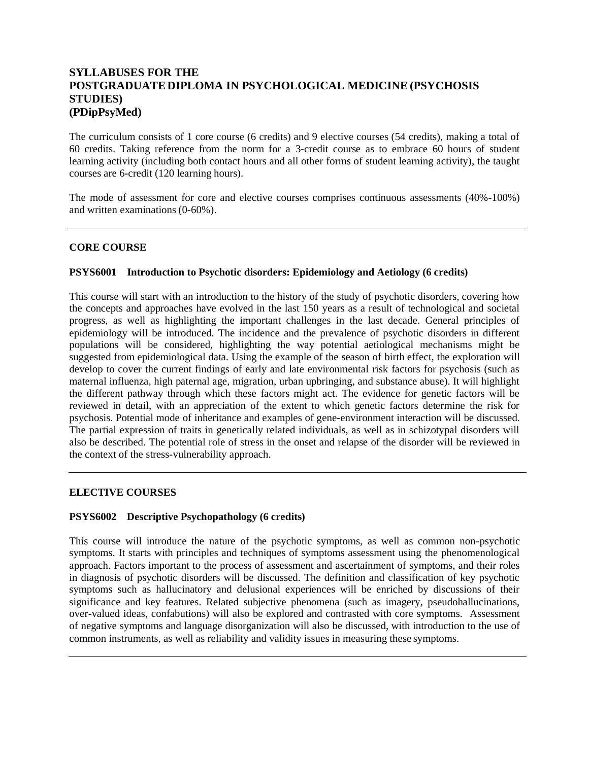# **SYLLABUSES FOR THE POSTGRADUATE DIPLOMA IN PSYCHOLOGICAL MEDICINE (PSYCHOSIS STUDIES) (PDipPsyMed)**

The curriculum consists of 1 core course (6 credits) and 9 elective courses (54 credits), making a total of 60 credits. Taking reference from the norm for a 3-credit course as to embrace 60 hours of student learning activity (including both contact hours and all other forms of student learning activity), the taught courses are 6-credit (120 learning hours).

The mode of assessment for core and elective courses comprises continuous assessments (40%-100%) and written examinations (0-60%).

#### **CORE COURSE**

# **PSYS6001 Introduction to Psychotic disorders: Epidemiology and Aetiology (6 credits)**

This course will start with an introduction to the history of the study of psychotic disorders, covering how the concepts and approaches have evolved in the last 150 years as a result of technological and societal progress, as well as highlighting the important challenges in the last decade. General principles of epidemiology will be introduced. The incidence and the prevalence of psychotic disorders in different populations will be considered, highlighting the way potential aetiological mechanisms might be suggested from epidemiological data. Using the example of the season of birth effect, the exploration will develop to cover the current findings of early and late environmental risk factors for psychosis (such as maternal influenza, high paternal age, migration, urban upbringing, and substance abuse). It will highlight the different pathway through which these factors might act. The evidence for genetic factors will be reviewed in detail, with an appreciation of the extent to which genetic factors determine the risk for psychosis. Potential mode of inheritance and examples of gene-environment interaction will be discussed. The partial expression of traits in genetically related individuals, as well as in schizotypal disorders will also be described. The potential role of stress in the onset and relapse of the disorder will be reviewed in the context of the stress-vulnerability approach.

#### **ELECTIVE COURSES**

#### **PSYS6002 Descriptive Psychopathology (6 credits)**

This course will introduce the nature of the psychotic symptoms, as well as common non-psychotic symptoms. It starts with principles and techniques of symptoms assessment using the phenomenological approach. Factors important to the process of assessment and ascertainment of symptoms, and their roles in diagnosis of psychotic disorders will be discussed. The definition and classification of key psychotic symptoms such as hallucinatory and delusional experiences will be enriched by discussions of their significance and key features. Related subjective phenomena (such as imagery, pseudohallucinations, over-valued ideas, confabutions) will also be explored and contrasted with core symptoms. Assessment of negative symptoms and language disorganization will also be discussed, with introduction to the use of common instruments, as well as reliability and validity issues in measuring these symptoms.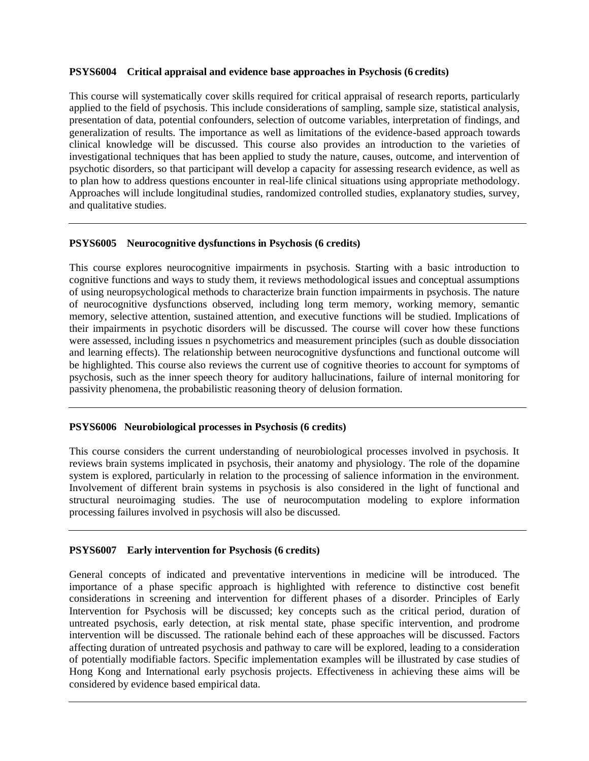# **PSYS6004 Critical appraisal and evidence base approaches in Psychosis (6 credits)**

This course will systematically cover skills required for critical appraisal of research reports, particularly applied to the field of psychosis. This include considerations of sampling, sample size, statistical analysis, presentation of data, potential confounders, selection of outcome variables, interpretation of findings, and generalization of results. The importance as well as limitations of the evidence-based approach towards clinical knowledge will be discussed. This course also provides an introduction to the varieties of investigational techniques that has been applied to study the nature, causes, outcome, and intervention of psychotic disorders, so that participant will develop a capacity for assessing research evidence, as well as to plan how to address questions encounter in real-life clinical situations using appropriate methodology. Approaches will include longitudinal studies, randomized controlled studies, explanatory studies, survey, and qualitative studies.

# **PSYS6005 Neurocognitive dysfunctions in Psychosis (6 credits)**

This course explores neurocognitive impairments in psychosis. Starting with a basic introduction to cognitive functions and ways to study them, it reviews methodological issues and conceptual assumptions of using neuropsychological methods to characterize brain function impairments in psychosis. The nature of neurocognitive dysfunctions observed, including long term memory, working memory, semantic memory, selective attention, sustained attention, and executive functions will be studied. Implications of their impairments in psychotic disorders will be discussed. The course will cover how these functions were assessed, including issues n psychometrics and measurement principles (such as double dissociation and learning effects). The relationship between neurocognitive dysfunctions and functional outcome will be highlighted. This course also reviews the current use of cognitive theories to account for symptoms of psychosis, such as the inner speech theory for auditory hallucinations, failure of internal monitoring for passivity phenomena, the probabilistic reasoning theory of delusion formation.

# **PSYS6006 Neurobiological processes in Psychosis (6 credits)**

This course considers the current understanding of neurobiological processes involved in psychosis. It reviews brain systems implicated in psychosis, their anatomy and physiology. The role of the dopamine system is explored, particularly in relation to the processing of salience information in the environment. Involvement of different brain systems in psychosis is also considered in the light of functional and structural neuroimaging studies. The use of neurocomputation modeling to explore information processing failures involved in psychosis will also be discussed.

# **PSYS6007 Early intervention for Psychosis (6 credits)**

General concepts of indicated and preventative interventions in medicine will be introduced. The importance of a phase specific approach is highlighted with reference to distinctive cost benefit considerations in screening and intervention for different phases of a disorder. Principles of Early Intervention for Psychosis will be discussed; key concepts such as the critical period, duration of untreated psychosis, early detection, at risk mental state, phase specific intervention, and prodrome intervention will be discussed. The rationale behind each of these approaches will be discussed. Factors affecting duration of untreated psychosis and pathway to care will be explored, leading to a consideration of potentially modifiable factors. Specific implementation examples will be illustrated by case studies of Hong Kong and International early psychosis projects. Effectiveness in achieving these aims will be considered by evidence based empirical data.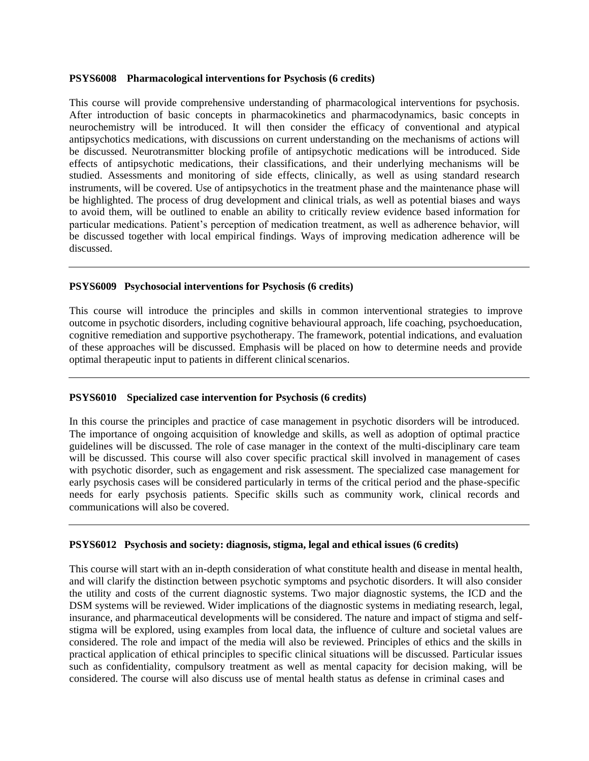#### **PSYS6008 Pharmacological interventions for Psychosis (6 credits)**

This course will provide comprehensive understanding of pharmacological interventions for psychosis. After introduction of basic concepts in pharmacokinetics and pharmacodynamics, basic concepts in neurochemistry will be introduced. It will then consider the efficacy of conventional and atypical antipsychotics medications, with discussions on current understanding on the mechanisms of actions will be discussed. Neurotransmitter blocking profile of antipsychotic medications will be introduced. Side effects of antipsychotic medications, their classifications, and their underlying mechanisms will be studied. Assessments and monitoring of side effects, clinically, as well as using standard research instruments, will be covered. Use of antipsychotics in the treatment phase and the maintenance phase will be highlighted. The process of drug development and clinical trials, as well as potential biases and ways to avoid them, will be outlined to enable an ability to critically review evidence based information for particular medications. Patient's perception of medication treatment, as well as adherence behavior, will be discussed together with local empirical findings. Ways of improving medication adherence will be discussed.

#### **PSYS6009 Psychosocial interventions for Psychosis (6 credits)**

This course will introduce the principles and skills in common interventional strategies to improve outcome in psychotic disorders, including cognitive behavioural approach, life coaching, psychoeducation, cognitive remediation and supportive psychotherapy. The framework, potential indications, and evaluation of these approaches will be discussed. Emphasis will be placed on how to determine needs and provide optimal therapeutic input to patients in different clinical scenarios.

# **PSYS6010 Specialized case intervention for Psychosis (6 credits)**

In this course the principles and practice of case management in psychotic disorders will be introduced. The importance of ongoing acquisition of knowledge and skills, as well as adoption of optimal practice guidelines will be discussed. The role of case manager in the context of the multi-disciplinary care team will be discussed. This course will also cover specific practical skill involved in management of cases with psychotic disorder, such as engagement and risk assessment. The specialized case management for early psychosis cases will be considered particularly in terms of the critical period and the phase-specific needs for early psychosis patients. Specific skills such as community work, clinical records and communications will also be covered.

#### **PSYS6012 Psychosis and society: diagnosis, stigma, legal and ethical issues (6 credits)**

This course will start with an in-depth consideration of what constitute health and disease in mental health, and will clarify the distinction between psychotic symptoms and psychotic disorders. It will also consider the utility and costs of the current diagnostic systems. Two major diagnostic systems, the ICD and the DSM systems will be reviewed. Wider implications of the diagnostic systems in mediating research, legal, insurance, and pharmaceutical developments will be considered. The nature and impact of stigma and selfstigma will be explored, using examples from local data, the influence of culture and societal values are considered. The role and impact of the media will also be reviewed. Principles of ethics and the skills in practical application of ethical principles to specific clinical situations will be discussed. Particular issues such as confidentiality, compulsory treatment as well as mental capacity for decision making, will be considered. The course will also discuss use of mental health status as defense in criminal cases and